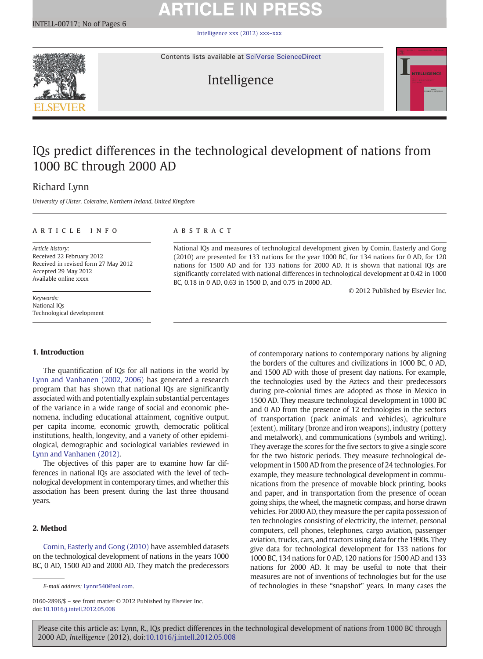# **ARTICLE IN PRESS**

[Intelligence xxx \(2012\) xxx](http://dx.doi.org/10.1016/j.intell.2012.05.008)–xxx



Contents lists available at [SciVerse ScienceDirect](http://www.sciencedirect.com/science/journal/01602896)



## IQs predict differences in the technological development of nations from 1000 BC through 2000 AD

## Richard Lynn

University of Ulster, Coleraine, Northern Ireland, United Kingdom

#### article info abstract

Article history: Received 22 February 2012 Received in revised form 27 May 2012 Accepted 29 May 2012 Available online xxxx

Keywords: National IQs Technological development

### 1. Introduction

The quantification of IQs for all nations in the world by [Lynn and Vanhanen \(2002, 2006\)](#page-5-0) has generated a research program that has shown that national IQs are significantly associated with and potentially explain substantial percentages of the variance in a wide range of social and economic phenomena, including educational attainment, cognitive output, per capita income, economic growth, democratic political institutions, health, longevity, and a variety of other epidemiological, demographic and sociological variables reviewed in [Lynn and Vanhanen \(2012\).](#page-5-0)

The objectives of this paper are to examine how far differences in national IQs are associated with the level of technological development in contemporary times, and whether this association has been present during the last three thousand years.

#### 2. Method

[Comin, Easterly and Gong \(2010\)](#page-5-0) have assembled datasets on the technological development of nations in the years 1000 BC, 0 AD, 1500 AD and 2000 AD. They match the predecessors

0160-2896/\$ – see front matter © 2012 Published by Elsevier Inc. doi[:10.1016/j.intell.2012.05.008](http://dx.doi.org/10.1016/j.intell.2012.05.008)

National IQs and measures of technological development given by Comin, Easterly and Gong (2010) are presented for 133 nations for the year 1000 BC, for 134 nations for 0 AD, for 120 nations for 1500 AD and for 133 nations for 2000 AD. It is shown that national IQs are significantly correlated with national differences in technological development at 0.42 in 1000 BC, 0.18 in 0 AD, 0.63 in 1500 D, and 0.75 in 2000 AD.

© 2012 Published by Elsevier Inc.

of contemporary nations to contemporary nations by aligning the borders of the cultures and civilizations in 1000 BC, 0 AD, and 1500 AD with those of present day nations. For example, the technologies used by the Aztecs and their predecessors during pre-colonial times are adopted as those in Mexico in 1500 AD. They measure technological development in 1000 BC and 0 AD from the presence of 12 technologies in the sectors of transportation (pack animals and vehicles), agriculture (extent), military (bronze and iron weapons), industry (pottery and metalwork), and communications (symbols and writing). They average the scores for the five sectors to give a single score for the two historic periods. They measure technological development in 1500 AD from the presence of 24 technologies. For example, they measure technological development in communications from the presence of movable block printing, books and paper, and in transportation from the presence of ocean going ships, the wheel, the magnetic compass, and horse drawn vehicles. For 2000 AD, they measure the per capita possession of ten technologies consisting of electricity, the internet, personal computers, cell phones, telephones, cargo aviation, passenger aviation, trucks, cars, and tractors using data for the 1990s. They give data for technological development for 133 nations for 1000 BC, 134 nations for 0 AD, 120 nations for 1500 AD and 133 nations for 2000 AD. It may be useful to note that their measures are not of inventions of technologies but for the use of technologies in these "snapshot" years. In many cases the

E-mail address: [Lynnr540@aol.com.](mailto:Lynnr540@aol.com)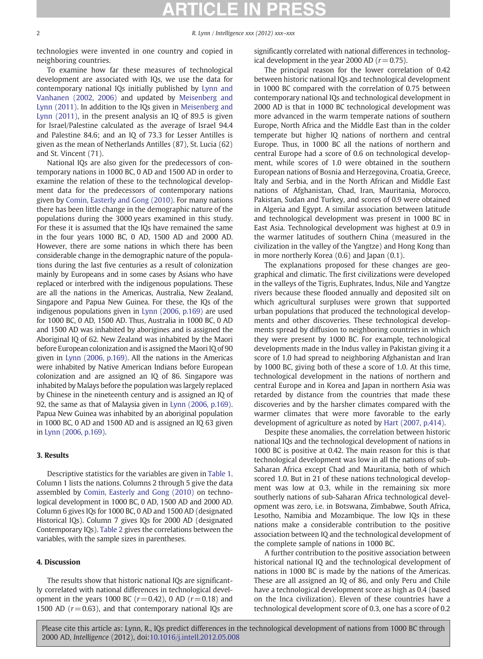2 R. Lynn / Intelligence xxx (2012) xxx–xxx

technologies were invented in one country and copied in neighboring countries.

To examine how far these measures of technological development are associated with IQs, we use the data for contemporary national IQs initially published by [Lynn and](#page-5-0) [Vanhanen \(2002, 2006\)](#page-5-0) and updated by [Meisenberg and](#page-5-0) [Lynn \(2011\).](#page-5-0) In addition to the IQs given in [Meisenberg and](#page-5-0) [Lynn \(2011\),](#page-5-0) in the present analysis an IQ of 89.5 is given for Israel/Palestine calculated as the average of Israel 94.4 and Palestine 84.6; and an IQ of 73.3 for Lesser Antilles is given as the mean of Netherlands Antilles (87), St. Lucia (62) and St. Vincent (71).

National IQs are also given for the predecessors of contemporary nations in 1000 BC, 0 AD and 1500 AD in order to examine the relation of these to the technological development data for the predecessors of contemporary nations given by [Comin, Easterly and Gong \(2010\)](#page-5-0). For many nations there has been little change in the demographic nature of the populations during the 3000 years examined in this study. For these it is assumed that the IQs have remained the same in the four years 1000 BC, 0 AD, 1500 AD and 2000 AD. However, there are some nations in which there has been considerable change in the demographic nature of the populations during the last five centuries as a result of colonization mainly by Europeans and in some cases by Asians who have replaced or interbred with the indigenous populations. These are all the nations in the Americas, Australia, New Zealand, Singapore and Papua New Guinea. For these, the IQs of the indigenous populations given in [Lynn \(2006, p.169\)](#page-5-0) are used for 1000 BC, 0 AD, 1500 AD. Thus, Australia in 1000 BC, 0 AD and 1500 AD was inhabited by aborigines and is assigned the Aboriginal IQ of 62. New Zealand was inhabited by the Maori before European colonization and is assigned the Maori IQ of 90 given in [Lynn \(2006, p.169\).](#page-5-0) All the nations in the Americas were inhabited by Native American Indians before European colonization and are assigned an IQ of 86. Singapore was inhabited by Malays before the population was largely replaced by Chinese in the nineteenth century and is assigned an IQ of 92, the same as that of Malaysia given in [Lynn \(2006, p.169\).](#page-5-0) Papua New Guinea was inhabited by an aboriginal population in 1000 BC, 0 AD and 1500 AD and is assigned an IQ 63 given in [Lynn \(2006, p.169\)](#page-5-0).

### 3. Results

Descriptive statistics for the variables are given in [Table 1.](#page-2-0) Column 1 lists the nations. Columns 2 through 5 give the data assembled by [Comin, Easterly and Gong \(2010\)](#page-5-0) on technological development in 1000 BC, 0 AD, 1500 AD and 2000 AD. Column 6 gives IQs for 1000 BC, 0 AD and 1500 AD (designated Historical IQs). Column 7 gives IQs for 2000 AD (designated Contemporary IQs). [Table 2](#page-4-0) gives the correlations between the variables, with the sample sizes in parentheses.

#### 4. Discussion

The results show that historic national IQs are significantly correlated with national differences in technological development in the years 1000 BC  $(r=0.42)$ , 0 AD  $(r=0.18)$  and 1500 AD  $(r=0.63)$ , and that contemporary national IQs are significantly correlated with national differences in technological development in the year 2000 AD ( $r=0.75$ ).

The principal reason for the lower correlation of 0.42 between historic national IQs and technological development in 1000 BC compared with the correlation of 0.75 between contemporary national IQs and technological development in 2000 AD is that in 1000 BC technological development was more advanced in the warm temperate nations of southern Europe, North Africa and the Middle East than in the colder temperate but higher IQ nations of northern and central Europe. Thus, in 1000 BC all the nations of northern and central Europe had a score of 0.6 on technological development, while scores of 1.0 were obtained in the southern European nations of Bosnia and Herzegovina, Croatia, Greece, Italy and Serbia, and in the North African and Middle East nations of Afghanistan, Chad, Iran, Mauritania, Morocco, Pakistan, Sudan and Turkey, and scores of 0.9 were obtained in Algeria and Egypt. A similar association between latitude and technological development was present in 1000 BC in East Asia. Technological development was highest at 0.9 in the warmer latitudes of southern China (measured in the civilization in the valley of the Yangtze) and Hong Kong than in more northerly Korea (0.6) and Japan (0.1).

The explanations proposed for these changes are geographical and climatic. The first civilizations were developed in the valleys of the Tigris, Euphrates, Indus, Nile and Yangtze rivers because these flooded annually and deposited silt on which agricultural surpluses were grown that supported urban populations that produced the technological developments and other discoveries. These technological developments spread by diffusion to neighboring countries in which they were present by 1000 BC. For example, technological developments made in the Indus valley in Pakistan giving it a score of 1.0 had spread to neighboring Afghanistan and Iran by 1000 BC, giving both of these a score of 1.0. At this time, technological development in the nations of northern and central Europe and in Korea and Japan in northern Asia was retarded by distance from the countries that made these discoveries and by the harsher climates compared with the warmer climates that were more favorable to the early development of agriculture as noted by [Hart \(2007, p.414\).](#page-5-0)

Despite these anomalies, the correlation between historic national IQs and the technological development of nations in 1000 BC is positive at 0.42. The main reason for this is that technological development was low in all the nations of sub-Saharan Africa except Chad and Mauritania, both of which scored 1.0. But in 21 of these nations technological development was low at 0.3, while in the remaining six more southerly nations of sub-Saharan Africa technological development was zero, i.e. in Botswana, Zimbabwe, South Africa, Lesotho, Namibia and Mozambique. The low IQs in these nations make a considerable contribution to the positive association between IQ and the technological development of the complete sample of nations in 1000 BC.

A further contribution to the positive association between historical national IQ and the technological development of nations in 1000 BC is made by the nations of the Americas. These are all assigned an IQ of 86, and only Peru and Chile have a technological development score as high as 0.4 (based on the Inca civilization). Eleven of these countries have a technological development score of 0.3, one has a score of 0.2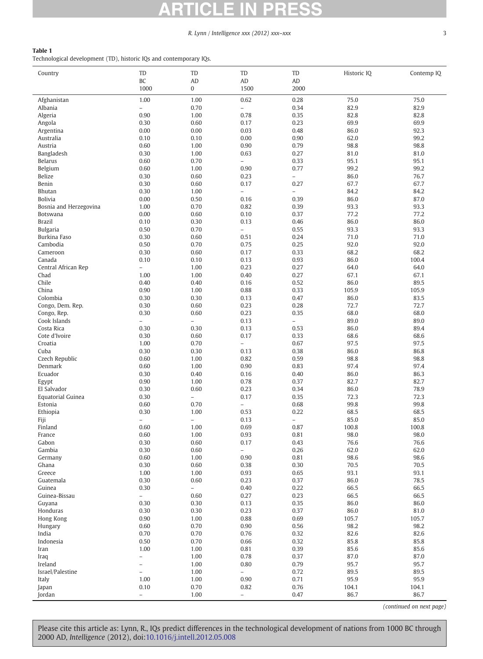## W

### R. Lynn / Intelligence xxx (2012) xxx-xxx 3

### <span id="page-2-0"></span>Table 1

Technological development (TD), historic IQs and contemporary IQs.

| Country                | TD                               | TD                       | TD                               | TD                               | Historic IQ   | Contemp IQ    |
|------------------------|----------------------------------|--------------------------|----------------------------------|----------------------------------|---------------|---------------|
|                        | BC                               | AD                       | AD                               | AD                               |               |               |
|                        | 1000                             | 0                        | 1500                             | 2000                             |               |               |
| Afghanistan<br>Albania | 1.00<br>$\overline{\phantom{0}}$ | 1.00<br>0.70             | 0.62<br>$\overline{a}$           | 0.28<br>0.34                     | 75.0<br>82.9  | 75.0<br>82.9  |
| Algeria                | 0.90                             | 1.00                     | 0.78                             | 0.35                             | 82.8          | 82.8          |
| Angola                 | 0.30                             | 0.60                     | 0.17                             | 0.23                             | 69.9          | 69.9          |
| Argentina              | 0.00                             | 0.00                     | 0.03                             | 0.48                             | 86.0          | 92.3          |
| Australia              | 0.10                             | 0.10                     | 0.00                             | 0.90                             | 62.0          | 99.2          |
| Austria                | 0.60                             | 1.00                     | 0.90                             | 0.79                             | 98.8          | 98.8          |
| Bangladesh             | 0.30                             | 1.00                     | 0.63                             | 0.27                             | 81.0          | 81.0          |
| Belarus                | 0.60                             | 0.70                     | $\overline{a}$                   | 0.33                             | 95.1          | 95.1          |
| Belgium                | 0.60                             | 1.00                     | 0.90                             | 0.77                             | 99.2          | 99.2          |
| Belize                 | 0.30                             | 0.60                     | 0.23                             | $\equiv$                         | 86.0          | 76.7          |
| Benin<br>Bhutan        | 0.30<br>0.30                     | 0.60<br>1.00             | 0.17<br>$\overline{\phantom{0}}$ | 0.27<br>$\overline{\phantom{0}}$ | 67.7<br>84.2  | 67.7<br>84.2  |
| <b>Bolivia</b>         | 0.00                             | 0.50                     | 0.16                             | 0.39                             | 86.0          | 87.0          |
| Bosnia and Herzegovina | 1.00                             | 0.70                     | 0.82                             | 0.39                             | 93.3          | 93.3          |
| Botswana               | 0.00                             | 0.60                     | 0.10                             | 0.37                             | 77.2          | 77.2          |
| <b>Brazil</b>          | 0.10                             | 0.30                     | 0.13                             | 0.46                             | 86.0          | 86.0          |
| <b>Bulgaria</b>        | 0.50                             | 0.70                     | $\overline{\phantom{a}}$         | 0.55                             | 93.3          | 93.3          |
| Burkina Faso           | 0.30                             | 0.60                     | 0.51                             | 0.24                             | 71.0          | 71.0          |
| Cambodia               | 0.50                             | 0.70                     | 0.75                             | 0.25                             | 92.0          | 92.0          |
| Cameroon               | 0.30                             | 0.60                     | 0.17                             | 0.33                             | 68.2          | 68.2          |
| Canada                 | 0.10                             | 0.10                     | 0.13                             | 0.93                             | 86.0          | 100.4         |
| Central African Rep    | $\overline{\phantom{0}}$<br>1.00 | 1.00                     | 0.23                             | 0.27<br>0.27                     | 64.0<br>67.1  | 64.0          |
| Chad<br>Chile          | 0.40                             | 1.00<br>0.40             | 0.40<br>0.16                     | 0.52                             | 86.0          | 67.1<br>89.5  |
| China                  | 0.90                             | 1.00                     | 0.88                             | 0.33                             | 105.9         | 105.9         |
| Colombia               | 0.30                             | 0.30                     | 0.13                             | 0.47                             | 86.0          | 83.5          |
| Congo, Dem. Rep.       | 0.30                             | 0.60                     | 0.23                             | 0.28                             | 72.7          | 72.7          |
| Congo, Rep.            | 0.30                             | 0.60                     | 0.23                             | 0.35                             | 68.0          | 68.0          |
| Cook Islands           | $\overline{\phantom{0}}$         | $\overline{a}$           | 0.13                             | $\overline{\phantom{0}}$         | 89.0          | 89.0          |
| Costa Rica             | 0.30                             | 0.30                     | 0.13                             | 0.53                             | 86.0          | 89.4          |
| Cote d'Ivoire          | 0.30                             | 0.60                     | 0.17                             | 0.33                             | 68.6          | 68.6          |
| Croatia                | 1.00                             | 0.70                     | $\overline{\phantom{0}}$         | 0.67                             | 97.5          | 97.5          |
| Cuba<br>Czech Republic | 0.30<br>0.60                     | 0.30<br>1.00             | 0.13<br>0.82                     | 0.38<br>0.59                     | 86.0<br>98.8  | 86.8<br>98.8  |
| Denmark                | 0.60                             | 1.00                     | 0.90                             | 0.83                             | 97.4          | 97.4          |
| Ecuador                | 0.30                             | 0.40                     | 0.16                             | 0.40                             | 86.0          | 86.3          |
| Egypt                  | 0.90                             | 1.00                     | 0.78                             | 0.37                             | 82.7          | 82.7          |
| El Salvador            | 0.30                             | 0.60                     | 0.23                             | 0.34                             | 86.0          | 78.9          |
| Equatorial Guinea      | 0.30                             | $\overline{\phantom{0}}$ | 0.17                             | 0.35                             | 72.3          | 72.3          |
| Estonia                | 0.60                             | 0.70                     | $\overline{\phantom{0}}$         | 0.68                             | 99.8          | 99.8          |
| Ethiopia               | 0.30                             | 1.00                     | 0.53                             | 0.22                             | 68.5          | 68.5          |
| Fiji                   | $\overline{\phantom{0}}$         | $\overline{a}$           | 0.13                             | $\equiv$                         | 85.0          | 85.0          |
| Finland<br>France      | 0.60<br>0.60                     | 1.00<br>1.00             | 0.69<br>0.93                     | 0.87<br>0.81                     | 100.8<br>98.0 | 100.8<br>98.0 |
| Gabon                  | 0.30                             | 0.60                     | 0.17                             | 0.43                             | 76.6          | 76.6          |
| Gambia                 | 0.30                             | 0.60                     | $\overline{\phantom{0}}$         | 0.26                             | 62.0          | 62.0          |
| Germany                | 0.60                             | 1.00                     | 0.90                             | 0.81                             | 98.6          | 98.6          |
| Ghana                  | 0.30                             | 0.60                     | 0.38                             | 0.30                             | 70.5          | 70.5          |
| Greece                 | 1.00                             | 1.00                     | 0.93                             | 0.65                             | 93.1          | 93.1          |
| Guatemala              | 0.30                             | 0.60                     | 0.23                             | 0.37                             | 86.0          | 78.5          |
| Guinea                 | 0.30                             | $\equiv$                 | 0.40                             | 0.22                             | 66.5          | 66.5          |
| Guinea-Bissau          | $\overline{\phantom{0}}$         | 0.60                     | 0.27                             | 0.23                             | 66.5          | 66.5          |
| Guyana<br>Honduras     | 0.30<br>0.30                     | 0.30<br>0.30             | 0.13<br>0.23                     | 0.35<br>0.37                     | 86.0<br>86.0  | 86.0<br>81.0  |
| Hong Kong              | 0.90                             | 1.00                     | 0.88                             | 0.69                             | 105.7         | 105.7         |
| Hungary                | 0.60                             | 0.70                     | 0.90                             | 0.56                             | 98.2          | 98.2          |
| India                  | 0.70                             | 0.70                     | 0.76                             | 0.32                             | 82.6          | 82.6          |
| Indonesia              | 0.50                             | 0.70                     | 0.66                             | 0.32                             | 85.8          | 85.8          |
| Iran                   | 1.00                             | 1.00                     | 0.81                             | 0.39                             | 85.6          | 85.6          |
| Iraq                   | $\overline{\phantom{0}}$         | 1.00                     | 0.78                             | 0.37                             | 87.0          | 87.0          |
| Ireland                | $\overline{\phantom{0}}$         | 1.00                     | 0.80                             | 0.79                             | 95.7          | 95.7          |
| Israel/Palestine       | $\overline{\phantom{0}}$         | 1.00                     | $\bar{ }$                        | 0.72                             | 89.5          | 89.5          |
| Italy                  | 1.00<br>0.10                     | 1.00<br>0.70             | 0.90<br>0.82                     | 0.71<br>0.76                     | 95.9          | 95.9          |
| Japan<br>Jordan        | $\overline{\phantom{0}}$         | 1.00                     | $\overline{\phantom{0}}$         | 0.47                             | 104.1<br>86.7 | 104.1<br>86.7 |
|                        |                                  |                          |                                  |                                  |               |               |

(continued on next page)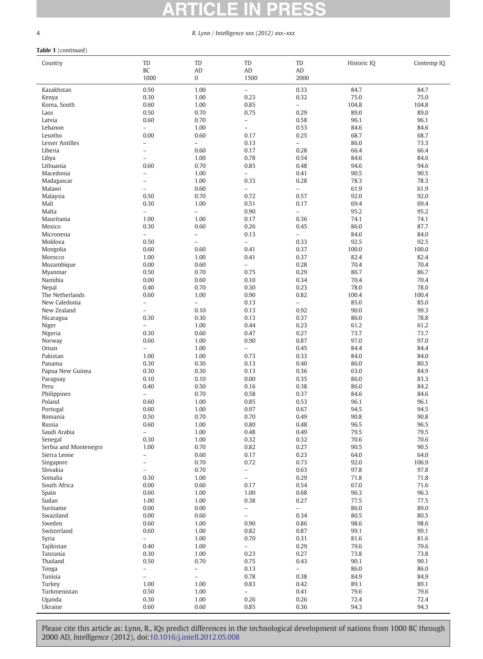#### $\overline{\phantom{a}}$ D D A C

### 4 R. Lynn / Intelligence xxx (2012) xxx–xxx

### Table 1 (continued)

| Country                  | TD                       | TD                       | TD                                                   | TD                       | Historic IQ   | Contemp IQ    |
|--------------------------|--------------------------|--------------------------|------------------------------------------------------|--------------------------|---------------|---------------|
|                          | BC                       | AD                       | AD                                                   | AD                       |               |               |
|                          | 1000                     | $\boldsymbol{0}$         | 1500                                                 | 2000                     |               |               |
| Kazakhstan               | 0.50                     | 1.00                     | $\overline{\phantom{a}}$                             | 0.33                     | 84.7          | 84.7          |
| Kenya                    | 0.30                     | 1.00                     | 0.23                                                 | 0.32                     | 75.0          | 75.0          |
| Korea, South             | 0.60                     | 1.00                     | 0.85                                                 | $\overline{a}$           | 104.8         | 104.8         |
| Laos                     | 0.50                     | 0.70                     | 0.75                                                 | 0.29                     | 89.0          | 89.0          |
| Latvia                   | 0.60                     | 0.70                     | $\overline{\phantom{a}}$                             | 0.58                     | 96.1          | 96.1          |
| Lebanon                  | $\overline{a}$           | 1.00                     | $\overline{a}$                                       | 0.53                     | 84.6          | 84.6          |
| Lesotho                  | 0.00                     | 0.60                     | 0.17                                                 | 0.25                     | 68.7          | 68.7          |
| Lesser Antilles          | $\overline{\phantom{0}}$ | $\bar{a}$                | 0.13                                                 | $\equiv$                 | 86.0          | 73.3          |
| Liberia                  | $\overline{a}$           | 0.60                     | 0.17                                                 | 0.28                     | 66.4          | 66.4          |
| Libya                    | $\overline{a}$           | 1.00                     | 0.78                                                 | 0.54                     | 84.6          | 84.6          |
| Lithuania<br>Macedonia   | 0.60                     | 0.70<br>1.00             | 0.85<br>$\overline{a}$                               | 0.48<br>0.41             | 94.6<br>90.5  | 94.6<br>90.5  |
| Madagascar               | $\overline{a}$           | 1.00                     | 0.33                                                 | 0.28                     | 78.3          | 78.3          |
| Malawi                   | $\overline{a}$           | 0.60                     | $\overline{\phantom{0}}$                             | $\overline{\phantom{0}}$ | 61.9          | 61.9          |
| Malaysia                 | 0.50                     | 0.70                     | 0.72                                                 | 0.57                     | 92.0          | 92.0          |
| Mali                     | 0.30                     | 1.00                     | 0.51                                                 | 0.17                     | 69.4          | 69.4          |
| Malta                    | $\overline{\phantom{0}}$ | $\equiv$                 | 0.90                                                 | $\overline{\phantom{0}}$ | 95.2          | 95.2          |
| Mauritania               | 1.00                     | 1.00                     | 0.17                                                 | 0.36                     | 74.1          | 74.1          |
| Mexico                   | 0.30                     | 0.60                     | 0.26                                                 | 0.45                     | 86.0          | 87.7          |
| Micronesia               | $\overline{\phantom{0}}$ | $\overline{\phantom{a}}$ | 0.13                                                 | $\overline{\phantom{0}}$ | 84.0          | 84.0          |
| Moldova                  | 0.50                     | $\overline{\phantom{0}}$ | $\overline{\phantom{0}}$                             | 0.33                     | 92.5          | 92.5          |
| Mongolia                 | 0.60                     | 0.60                     | 0.41                                                 | 0.37                     | 100.0         | 100.0         |
| Morocco                  | 1.00                     | 1.00                     | 0.41                                                 | 0.37                     | 82.4          | 82.4          |
| Mozambique               | 0.00                     | 0.60                     | $\equiv$                                             | 0.28                     | 70.4          | 70.4          |
| Myanmar                  | 0.50                     | 0.70                     | 0.75                                                 | 0.29                     | 86.7          | 86.7          |
| Namibia                  | 0.00                     | 0.60                     | 0.10                                                 | 0.34                     | 70.4          | 70.4          |
| Nepal<br>The Netherlands | 0.40<br>0.60             | 0.70<br>1.00             | 0.30<br>0.90                                         | 0.23<br>0.82             | 78.0<br>100.4 | 78.0<br>100.4 |
| New Caledonia            | $\overline{\phantom{0}}$ | $\overline{\phantom{a}}$ | 0.13                                                 | $\overline{\phantom{0}}$ | 85.0          | 85.0          |
| New Zealand              | $\overline{\phantom{0}}$ | 0.10                     | 0.13                                                 | 0.92                     | 90.0          | 99.3          |
| Nicaragua                | 0.30                     | 0.30                     | 0.13                                                 | 0.37                     | 86.0          | 78.8          |
| Niger                    |                          | 1.00                     | 0.44                                                 | 0.23                     | 61.2          | 61.2          |
| Nigeria                  | 0.30                     | 0.60                     | 0.47                                                 | 0.27                     | 73.7          | 73.7          |
| Norway                   | 0.60                     | 1.00                     | 0.90                                                 | 0.87                     | 97.0          | 97.0          |
| Oman                     | $\overline{a}$           | 1.00                     | $\overline{\phantom{0}}$                             | 0.45                     | 84.4          | 84.4          |
| Pakistan                 | 1.00                     | 1.00                     | 0.73                                                 | 0.33                     | 84.0          | 84.0          |
| Panama                   | 0.30                     | 0.30                     | 0.13                                                 | 0.40                     | 86.0          | 80.5          |
| Papua New Guinea         | 0.30                     | 0.30                     | 0.13                                                 | 0.36                     | 63.0          | 84.9          |
| Paraguay                 | 0.10                     | 0.10                     | 0.00                                                 | 0.35                     | 86.0          | 83.3          |
| Peru                     | 0.40<br>$\overline{a}$   | 0.50                     | 0.16                                                 | 0.38                     | 86.0          | 84.2          |
| Philippines<br>Poland    | 0.60                     | 0.70<br>1.00             | 0.58                                                 | 0.37<br>0.53             | 84.6<br>96.1  | 84.6<br>96.1  |
| Portugal                 | 0.60                     | 1.00                     | 0.85<br>0.97                                         | 0.67                     | 94.5          | 94.5          |
| Romania                  | 0.50                     | 0.70                     | 0.70                                                 | 0.49                     | 90.8          | 90.8          |
| Russia                   | 0.60                     | 1.00                     | 0.80                                                 | 0.48                     | 96.5          | 96.5          |
| Saudi Arabia             | $\overline{a}$           | 1.00                     | 0.48                                                 | 0.49                     | 79.5          | 79.5          |
| Senegal                  | 0.30                     | 1.00                     | 0.32                                                 | 0.32                     | 70.6          | 70.6          |
| Serbia and Montenegro    | 1.00                     | 0.70                     | 0.82                                                 | 0.27                     | 90.5          | 90.5          |
| Sierra Leone             | -                        | 0.60                     | 0.17                                                 | 0.23                     | 64.0          | 64.0          |
| Singapore                | $\overline{\phantom{0}}$ | 0.70                     | 0.72                                                 | 0.73                     | 92.0          | 106.9         |
| Slovakia                 | $\overline{\phantom{0}}$ | 0.70                     | $\overline{\phantom{0}}$                             | 0.63                     | 97.8          | 97.8          |
| Somalia                  | 0.30                     | 1.00                     | $\bar{ }$                                            | 0.29                     | 71.8          | 71.8          |
| South Africa             | 0.00                     | 0.60                     | 0.17                                                 | 0.54                     | 67.0          | 71.6          |
| Spain                    | 0.60                     | 1.00                     | 1.00                                                 | 0.68                     | 96.3          | 96.3          |
| Sudan                    | 1.00                     | 1.00                     | 0.38                                                 | 0.27<br>$\overline{a}$   | 77.5          | 77.5          |
| Suriname<br>Swaziland    | 0.00<br>0.00             | 0.00<br>0.60             | $\overline{\phantom{0}}$<br>$\overline{\phantom{a}}$ | 0.34                     | 86.0<br>80.5  | 89.0<br>80.5  |
| Sweden                   | 0.60                     | 1.00                     | 0.90                                                 | 0.86                     | 98.6          | 98.6          |
| Switzerland              | 0.60                     | 1.00                     | 0.82                                                 | 0.87                     | 99.1          | 99.1          |
| Syria                    | $\overline{\phantom{0}}$ | 1.00                     | 0.70                                                 | 0.31                     | 81.6          | 81.6          |
| Tajikistan               | 0.40                     | 1.00                     | $\overline{\phantom{a}}$                             | 0.29                     | 79.6          | 79.6          |
| Tanzania                 | 0.30                     | 1.00                     | 0.23                                                 | 0.27                     | 73.8          | 73.8          |
| Thailand                 | 0.50                     | 0.70                     | 0.75                                                 | 0.43                     | 90.1          | 90.1          |
| Tonga                    | $\overline{\phantom{0}}$ | $\overline{\phantom{a}}$ | 0.13                                                 | $\overline{\phantom{0}}$ | 86.0          | 86.0          |
| Tunisia                  | $\equiv$                 | $\overline{\phantom{0}}$ | 0.78                                                 | 0.38                     | 84.9          | 84.9          |
| Turkey                   | 1.00                     | 1.00                     | 0.83                                                 | 0.42                     | 89.1          | 89.1          |
| Turkmenistan             | 0.50                     | 1.00                     | $\overline{\phantom{0}}$                             | 0.41                     | 79.6          | 79.6          |
| Uganda                   | 0.30                     | 1.00                     | 0.26                                                 | 0.26                     | 72.4          | 72.4          |
| Ukraine                  | 0.60                     | 0.60                     | 0.85                                                 | 0.36                     | 94.3          | 94.3          |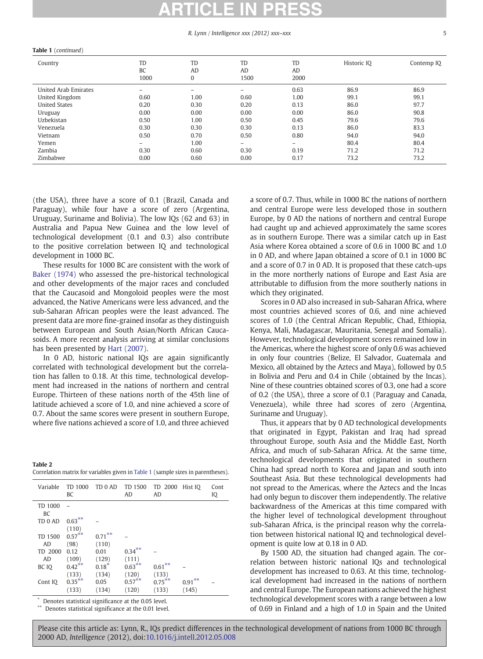#### R. Lynn / Intelligence xxx (2012) xxx–xxx 5

| Country              | TD                       | TD              | TD                | TD   | Historic IQ | Contemp IQ |
|----------------------|--------------------------|-----------------|-------------------|------|-------------|------------|
|                      | BC                       | <b>AD</b>       | AD                | AD   |             |            |
|                      | 1000                     | 0               | 1500              | 2000 |             |            |
| United Arab Emirates | $\overline{\phantom{0}}$ | $\qquad \qquad$ | $\qquad \qquad -$ | 0.63 | 86.9        | 86.9       |
| United Kingdom       | 0.60                     | 1.00            | 0.60              | 1.00 | 99.1        | 99.1       |
| <b>United States</b> | 0.20                     | 0.30            | 0.20              | 0.13 | 86.0        | 97.7       |
| Uruguay              | 0.00                     | 0.00            | 0.00              | 0.00 | 86.0        | 90.8       |
| Uzbekistan           | 0.50                     | 1.00            | 0.50              | 0.45 | 79.6        | 79.6       |
| Venezuela            | 0.30                     | 0.30            | 0.30              | 0.13 | 86.0        | 83.3       |
| Vietnam              | 0.50                     | 0.70            | 0.50              | 0.80 | 94.0        | 94.0       |
| Yemen                | $\overline{\phantom{0}}$ | 1.00            | $-$               | -    | 80.4        | 80.4       |
| Zambia               | 0.30                     | 0.60            | 0.30              | 0.19 | 71.2        | 71.2       |
| Zimbabwe             | 0.00                     | 0.60            | 0.00              | 0.17 | 73.2        | 73.2       |
|                      |                          |                 |                   |      |             |            |

<span id="page-4-0"></span>Table 1 (continued)

(the USA), three have a score of 0.1 (Brazil, Canada and Paraguay), while four have a score of zero (Argentina, Uruguay, Suriname and Bolivia). The low IQs (62 and 63) in Australia and Papua New Guinea and the low level of technological development (0.1 and 0.3) also contribute to the positive correlation between IQ and technological development in 1000 BC.

These results for 1000 BC are consistent with the work of [Baker \(1974\)](#page-5-0) who assessed the pre-historical technological and other developments of the major races and concluded that the Caucasoid and Mongoloid peoples were the most advanced, the Native Americans were less advanced, and the sub-Saharan African peoples were the least advanced. The present data are more fine-grained insofar as they distinguish between European and South Asian/North African Caucasoids. A more recent analysis arriving at similar conclusions has been presented by [Hart \(2007\)](#page-5-0).

In 0 AD, historic national IQs are again significantly correlated with technological development but the correlation has fallen to 0.18. At this time, technological development had increased in the nations of northern and central Europe. Thirteen of these nations north of the 45th line of latitude achieved a score of 1.0, and nine achieved a score of 0.7. About the same scores were present in southern Europe, where five nations achieved a score of 1.0, and three achieved

| Table 2                                                                          |  |  |
|----------------------------------------------------------------------------------|--|--|
| Correlation matrix for variables given in Table 1 (sample sizes in parentheses). |  |  |

| Variable      | TD 1000<br>BC | TD 0 AD   | TD 1500<br>AD | TD 2000<br>AD | Hist IQ   | Cont<br>IQ |
|---------------|---------------|-----------|---------------|---------------|-----------|------------|
| TD 1000<br>BC |               |           |               |               |           |            |
| TD 0 AD       | $0.63***$     |           |               |               |           |            |
|               | (110)         |           |               |               |           |            |
| TD 1500       | $0.57***$     | $0.71***$ |               |               |           |            |
| AD            | (98)          | (110)     |               |               |           |            |
| TD 2000       | 0.12          | 0.01      | $0.34***$     |               |           |            |
| AD            | (109)         | (129)     | (111)         |               |           |            |
| BC IO         | $0.42***$     | $0.18*$   | $0.63***$     | $0.61***$     |           |            |
|               | (133)         | (134)     | (120)         | (133)         |           |            |
| Cont IQ       | $0.35***$     | 0.05      | $0.57***$     | $0.75***$     | $0.91***$ |            |
|               | (133)         | (134)     | (120)         | (133)         | (145)     |            |

Denotes statistical significance at the 0.05 level.

Denotes statistical significance at the 0.01 level.

a score of 0.7. Thus, while in 1000 BC the nations of northern and central Europe were less developed those in southern Europe, by 0 AD the nations of northern and central Europe had caught up and achieved approximately the same scores as in southern Europe. There was a similar catch up in East Asia where Korea obtained a score of 0.6 in 1000 BC and 1.0 in 0 AD, and where Japan obtained a score of 0.1 in 1000 BC and a score of 0.7 in 0 AD. It is proposed that these catch-ups in the more northerly nations of Europe and East Asia are attributable to diffusion from the more southerly nations in which they originated.

Scores in 0 AD also increased in sub-Saharan Africa, where most countries achieved scores of 0.6, and nine achieved scores of 1.0 (the Central African Republic, Chad, Ethiopia, Kenya, Mali, Madagascar, Mauritania, Senegal and Somalia). However, technological development scores remained low in the Americas, where the highest score of only 0.6 was achieved in only four countries (Belize, El Salvador, Guatemala and Mexico, all obtained by the Aztecs and Maya), followed by 0.5 in Bolivia and Peru and 0.4 in Chile (obtained by the Incas). Nine of these countries obtained scores of 0.3, one had a score of 0.2 (the USA), three a score of 0.1 (Paraguay and Canada, Venezuela), while three had scores of zero (Argentina, Suriname and Uruguay).

Thus, it appears that by 0 AD technological developments that originated in Egypt, Pakistan and Iraq had spread throughout Europe, south Asia and the Middle East, North Africa, and much of sub-Saharan Africa. At the same time, technological developments that originated in southern China had spread north to Korea and Japan and south into Southeast Asia. But these technological developments had not spread to the Americas, where the Aztecs and the Incas had only begun to discover them independently. The relative backwardness of the Americas at this time compared with the higher level of technological development throughout sub-Saharan Africa, is the principal reason why the correlation between historical national IQ and technological development is quite low at 0.18 in 0 AD.

By 1500 AD, the situation had changed again. The correlation between historic national IQs and technological development has increased to 0.63. At this time, technological development had increased in the nations of northern and central Europe. The European nations achieved the highest technological development scores with a range between a low of 0.69 in Finland and a high of 1.0 in Spain and the United